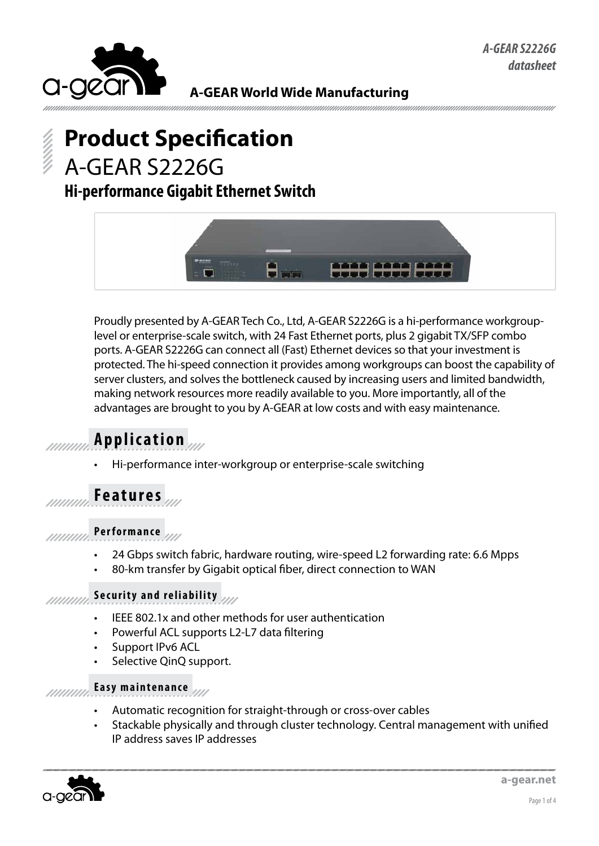

### **A-GEAR World Wide Manufacturing**

# **Product Specification** A-GEAR S2226G

# **Hi-performance Gigabit Ethernet Switch**



Proudly presented by A-GEAR Tech Co., Ltd, A-GEAR S2226G is a hi-performance workgrouplevel or enterprise-scale switch, with 24 Fast Ethernet ports, plus 2 gigabit TX/SFP combo ports. A-GEAR S2226G can connect all (Fast) Ethernet devices so that your investment is protected. The hi-speed connection it provides among workgroups can boost the capability of server clusters, and solves the bottleneck caused by increasing users and limited bandwidth, making network resources more readily available to you. More importantly, all of the advantages are brought to you by A-GEAR at low costs and with easy maintenance.

## **Application**

Hi-performance inter-workgroup or enterprise-scale switching

## **Features**

### **Performance**

- 24 Gbps switch fabric, hardware routing, wire-speed L2 forwarding rate: 6.6 Mpps
- 80-km transfer by Gigabit optical fiber, direct connection to WAN

#### **Security and reliability** //////////

- IEEE 802.1x and other methods for user authentication
- Powerful ACL supports L2-L7 data filtering
- Support IPv6 ACL
- Selective QinQ support.

#### **Easy maintenance** *mmm*

- Automatic recognition for straight-through or cross-over cables
- Stackable physically and through cluster technology. Central management with unified IP address saves IP addresses

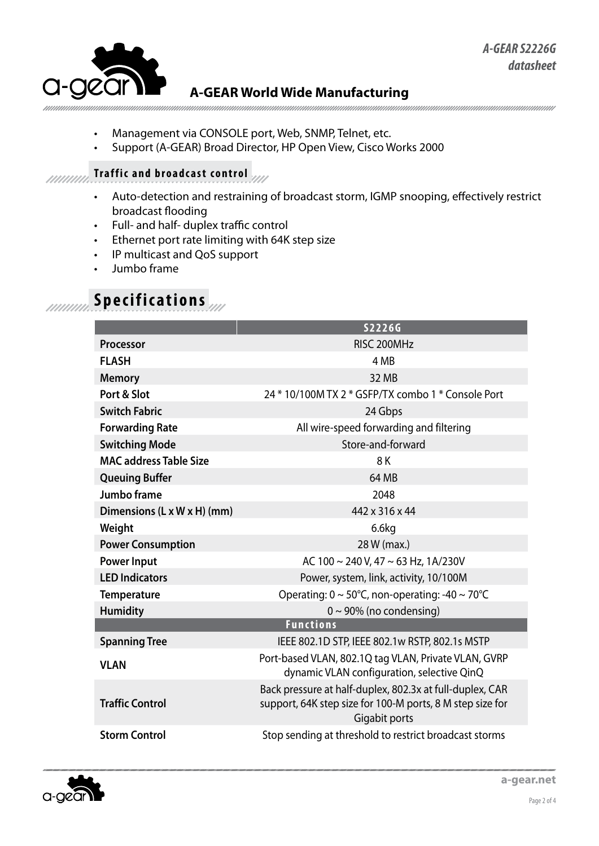

### **A-GEAR World Wide Manufacturing**

- Management via CONSOLE port, Web, SNMP, Telnet, etc.
- Support (A-GEAR) Broad Director, HP Open View, Cisco Works 2000

#### **Traffic and broadcast control** muun.

- • Auto-detection and restraining of broadcast storm, IGMP snooping, effectively restrict broadcast flooding
- • Full- and half- duplex traffic control
- • Ethernet port rate limiting with 64K step size
- • IP multicast and QoS support
- Jumbo frame

# **Specifications**

|                               | S2226G                                                                                                                                 |
|-------------------------------|----------------------------------------------------------------------------------------------------------------------------------------|
| <b>Processor</b>              | RISC 200MHz                                                                                                                            |
| <b>FLASH</b>                  | 4 MB                                                                                                                                   |
| <b>Memory</b>                 | 32 MB                                                                                                                                  |
| Port & Slot                   | 24 * 10/100M TX 2 * GSFP/TX combo 1 * Console Port                                                                                     |
| <b>Switch Fabric</b>          | 24 Gbps                                                                                                                                |
| <b>Forwarding Rate</b>        | All wire-speed forwarding and filtering                                                                                                |
| <b>Switching Mode</b>         | Store-and-forward                                                                                                                      |
| <b>MAC address Table Size</b> | 8K                                                                                                                                     |
| <b>Queuing Buffer</b>         | 64 MB                                                                                                                                  |
| <b>Jumbo frame</b>            | 2048                                                                                                                                   |
| Dimensions (L x W x H) (mm)   | 442 x 316 x 44                                                                                                                         |
| Weight                        | 6.6kg                                                                                                                                  |
| <b>Power Consumption</b>      | 28 W (max.)                                                                                                                            |
| <b>Power Input</b>            | AC 100 ~ 240 V, 47 ~ 63 Hz, 1A/230V                                                                                                    |
| <b>LED Indicators</b>         | Power, system, link, activity, 10/100M                                                                                                 |
| <b>Temperature</b>            | Operating: $0 \sim 50^{\circ}$ C, non-operating: -40 ~ 70°C                                                                            |
| <b>Humidity</b>               | $0 \sim 90\%$ (no condensing)                                                                                                          |
| <b>Functions</b>              |                                                                                                                                        |
| <b>Spanning Tree</b>          | IEEE 802.1D STP, IEEE 802.1w RSTP, 802.1s MSTP                                                                                         |
| <b>VLAN</b>                   | Port-based VLAN, 802.1Q tag VLAN, Private VLAN, GVRP<br>dynamic VLAN configuration, selective QinQ                                     |
| <b>Traffic Control</b>        | Back pressure at half-duplex, 802.3x at full-duplex, CAR<br>support, 64K step size for 100-M ports, 8 M step size for<br>Gigabit ports |
| <b>Storm Control</b>          | Stop sending at threshold to restrict broadcast storms                                                                                 |

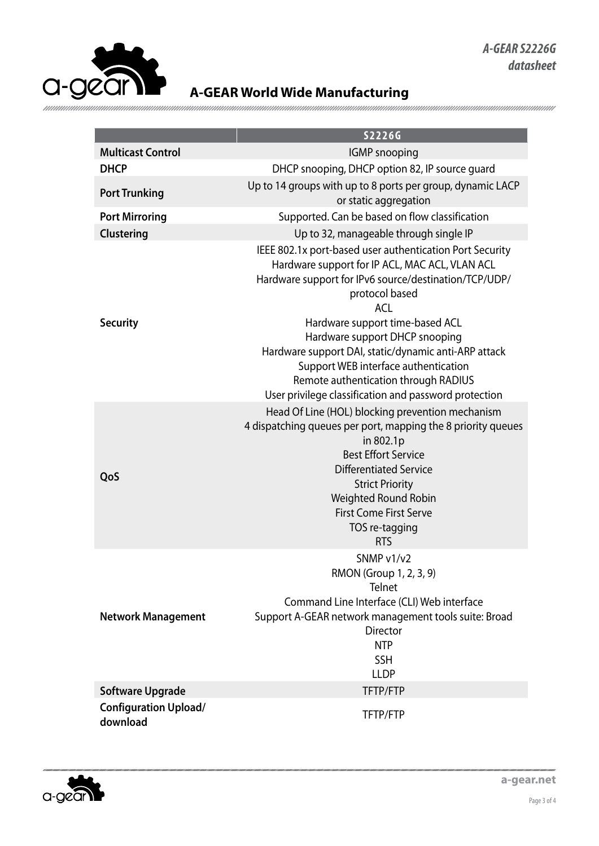

## **A-GEAR World Wide Manufacturing**

|                                          | S2226G                                                                                                                                                                                                                                                                                                                                                                                                                                                                    |
|------------------------------------------|---------------------------------------------------------------------------------------------------------------------------------------------------------------------------------------------------------------------------------------------------------------------------------------------------------------------------------------------------------------------------------------------------------------------------------------------------------------------------|
| <b>Multicast Control</b>                 | <b>IGMP</b> snooping                                                                                                                                                                                                                                                                                                                                                                                                                                                      |
| <b>DHCP</b>                              | DHCP snooping, DHCP option 82, IP source guard                                                                                                                                                                                                                                                                                                                                                                                                                            |
| <b>Port Trunking</b>                     | Up to 14 groups with up to 8 ports per group, dynamic LACP<br>or static aggregation                                                                                                                                                                                                                                                                                                                                                                                       |
| <b>Port Mirroring</b>                    | Supported. Can be based on flow classification                                                                                                                                                                                                                                                                                                                                                                                                                            |
| Clustering                               | Up to 32, manageable through single IP                                                                                                                                                                                                                                                                                                                                                                                                                                    |
| <b>Security</b>                          | IEEE 802.1x port-based user authentication Port Security<br>Hardware support for IP ACL, MAC ACL, VLAN ACL<br>Hardware support for IPv6 source/destination/TCP/UDP/<br>protocol based<br><b>ACL</b><br>Hardware support time-based ACL<br>Hardware support DHCP snooping<br>Hardware support DAI, static/dynamic anti-ARP attack<br>Support WEB interface authentication<br>Remote authentication through RADIUS<br>User privilege classification and password protection |
| QoS                                      | Head Of Line (HOL) blocking prevention mechanism<br>4 dispatching queues per port, mapping the 8 priority queues<br>in 802.1p<br><b>Best Effort Service</b><br><b>Differentiated Service</b><br><b>Strict Priority</b><br>Weighted Round Robin<br><b>First Come First Serve</b><br>TOS re-tagging<br><b>RTS</b>                                                                                                                                                           |
| <b>Network Management</b>                | SNMP v1/v2<br>RMON (Group 1, 2, 3, 9)<br><b>Telnet</b><br>Command Line Interface (CLI) Web interface<br>Support A-GEAR network management tools suite: Broad<br><b>Director</b><br><b>NTP</b><br><b>SSH</b><br><b>LLDP</b>                                                                                                                                                                                                                                                |
| <b>Software Upgrade</b>                  | TFTP/FTP                                                                                                                                                                                                                                                                                                                                                                                                                                                                  |
| <b>Configuration Upload/</b><br>download | TFTP/FTP                                                                                                                                                                                                                                                                                                                                                                                                                                                                  |